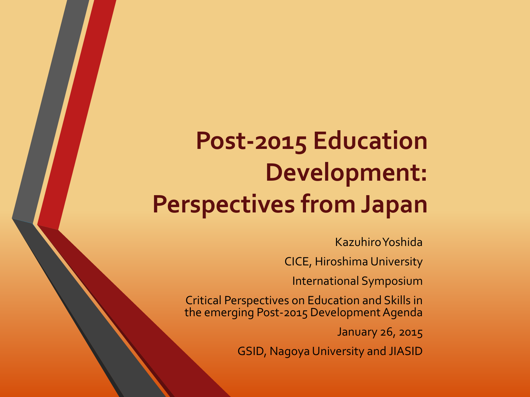### **Post-2015 Education Development: Perspectives from Japan**

Kazuhiro Yoshida

CICE, Hiroshima University

International Symposium

Critical Perspectives on Education and Skills in the emerging Post-2015 Development Agenda

January 26, 2015

GSID, Nagoya University and JIASID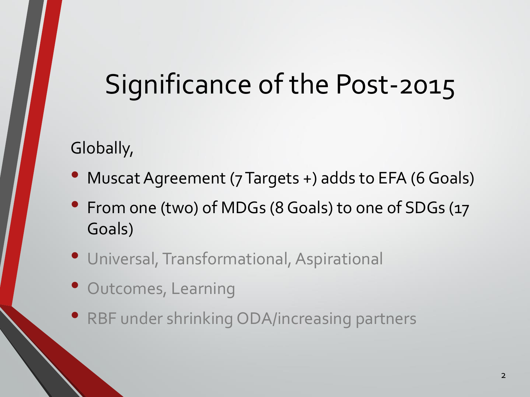## Significance of the Post-2015

Globally,

- Muscat Agreement (7 Targets +) adds to EFA (6 Goals)
- From one (two) of MDGs (8 Goals) to one of SDGs (17 Goals)
- Universal, Transformational, Aspirational
- Outcomes, Learning
- RBF under shrinking ODA/increasing partners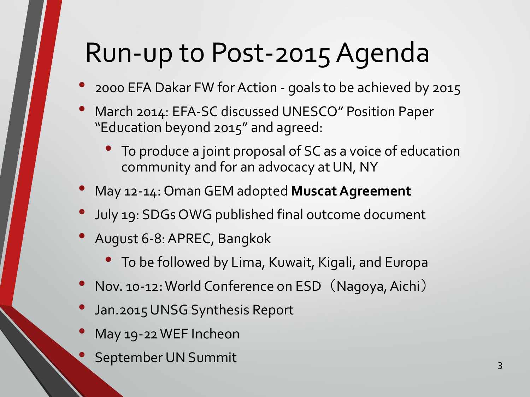## Run-up to Post-2015 Agenda

- 2000 EFA Dakar FW for Action goals to be achieved by 2015
- March 2014: EFA-SC discussed UNESCO" Position Paper "Education beyond 2015" and agreed:
	- To produce a joint proposal of SC as a voice of education community and for an advocacy at UN, NY
- May 12-14: Oman GEM adopted **Muscat Agreement**
- July 19: SDGs OWG published final outcome document
- August 6-8: APREC, Bangkok
	- To be followed by Lima, Kuwait, Kigali, and Europa
- Nov. 10-12: World Conference on ESD (Nagoya, Aichi)
- Jan.2015 UNSG Synthesis Report
- May 19-22 WEF Incheon
- eptember UN Summit 3 3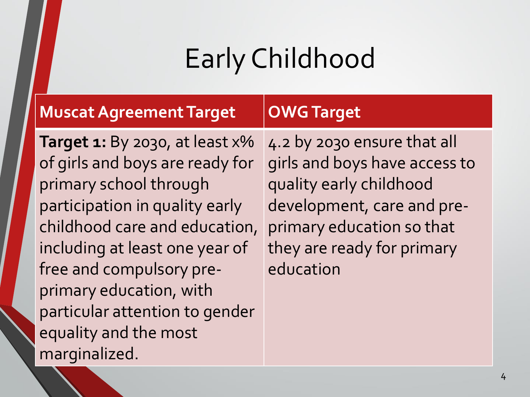# Early Childhood

| <b>Muscat Agreement Target</b>                                                                                                                                                                                                                                                                                                                | <b>OWG Target</b>                                                                                                                                                                             |
|-----------------------------------------------------------------------------------------------------------------------------------------------------------------------------------------------------------------------------------------------------------------------------------------------------------------------------------------------|-----------------------------------------------------------------------------------------------------------------------------------------------------------------------------------------------|
| <b>Target 1:</b> By 2030, at least $x\%$<br>of girls and boys are ready for<br>primary school through<br>participation in quality early<br>childhood care and education,<br>including at least one year of<br>free and compulsory pre-<br>primary education, with<br>particular attention to gender<br>equality and the most<br>marginalized. | 4.2 by 2030 ensure that all<br>girls and boys have access to<br>quality early childhood<br>development, care and pre-<br>primary education so that<br>they are ready for primary<br>education |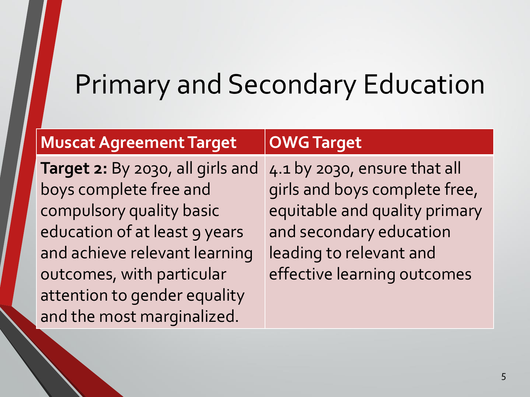### Primary and Secondary Education

### **Muscat AgreementTarget OWGTarget**

**Target 2:** By 2030, all girls and boys complete free and compulsory quality basic education of at least 9 years and achieve relevant learning outcomes, with particular attention to gender equality and the most marginalized.

4.1 by 2030, ensure that all girls and boys complete free, equitable and quality primary and secondary education leading to relevant and effective learning outcomes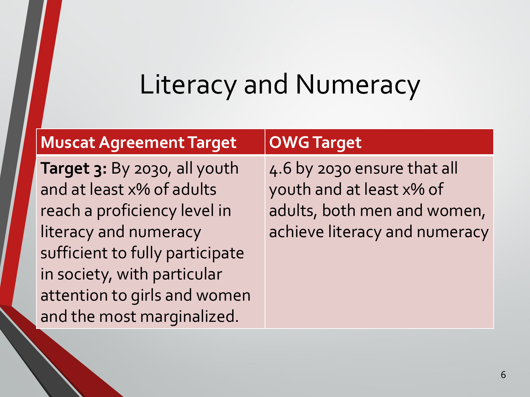### Literacy and Numeracy

### **Muscat AgreementTarget OWGTarget**

**Target 3:** By 2030, all youth and at least x% of adults reach a proficiency level in literacy and numeracy sufficient to fully participate in society, with particular attention to girls and women and the most marginalized.

4.6 by 2030 ensure that all youth and at least x% of adults, both men and women, achieve literacy and numeracy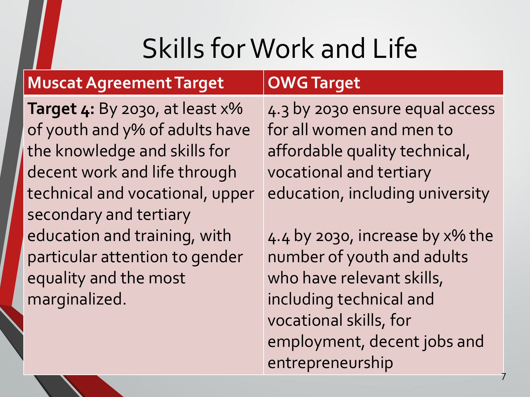# Skills for Work and Life

### **Muscat Agreement Target OWG Target**

**Target 4:** By 2030, at least x% of youth and y% of adults have the knowledge and skills for decent work and life through technical and vocational, upper secondary and tertiary education and training, with particular attention to gender equality and the most marginalized.

4.3 by 2030 ensure equal access for all women and men to affordable quality technical, vocational and tertiary education, including university

4.4 by 2030, increase by x% the number of youth and adults who have relevant skills, including technical and vocational skills, for employment, decent jobs and entrepreneurship

7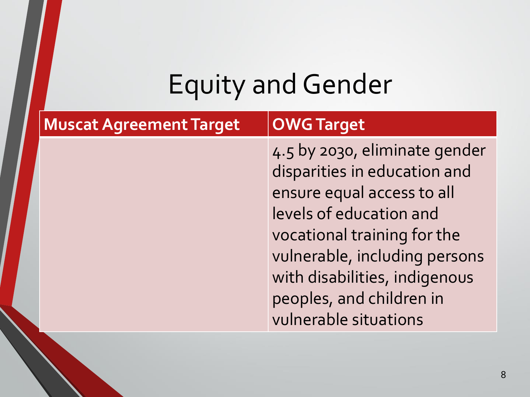# **Equity and Gender**

| <b>Muscat Agreement Target</b> | <b>OWG Target</b>                                                                                                                                                                                                                                                            |
|--------------------------------|------------------------------------------------------------------------------------------------------------------------------------------------------------------------------------------------------------------------------------------------------------------------------|
|                                | 4.5 by 2030, eliminate gender<br>disparities in education and<br>ensure equal access to all<br>levels of education and<br>vocational training for the<br>vulnerable, including persons<br>with disabilities, indigenous<br>peoples, and children in<br>vulnerable situations |
|                                |                                                                                                                                                                                                                                                                              |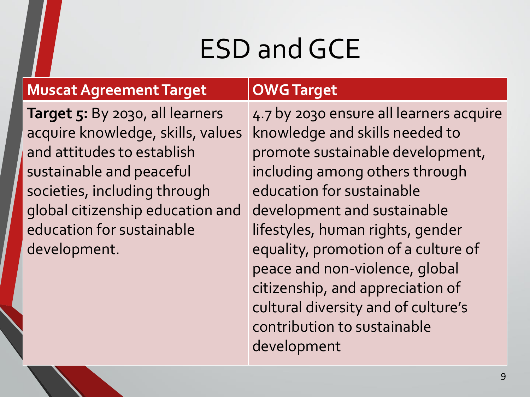## ESD and GCE

### **Muscat Agreement Target OWGTarget**

**Target 5:** By 2030, all learners acquire knowledge, skills, values and attitudes to establish sustainable and peaceful societies, including through global citizenship education and education for sustainable development.

4.7 by 2030 ensure all learners acquire knowledge and skills needed to promote sustainable development, including among others through education for sustainable development and sustainable lifestyles, human rights, gender equality, promotion of a culture of peace and non-violence, global citizenship, and appreciation of cultural diversity and of culture's contribution to sustainable development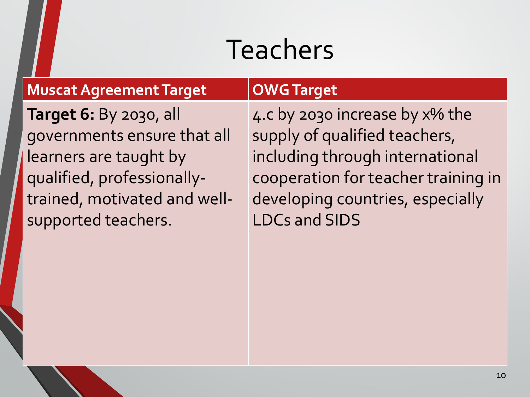## Teachers

### **Muscat Agreement Target OWGTarget**

**Target 6:** By 2030, all governments ensure that all learners are taught by qualified, professionallytrained, motivated and wellsupported teachers.

4.c by 2030 increase by x% the supply of qualified teachers, including through international cooperation for teacher training in developing countries, especially LDCs and SIDS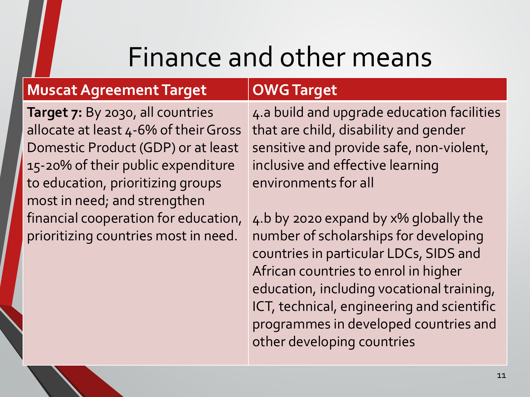### Finance and other means

### **Muscat Agreement Target OWGTarget**

**Target 7:** By 2030, all countries allocate at least 4-6% of their Gross Domestic Product (GDP) or at least 15-20% of their public expenditure to education, prioritizing groups most in need; and strengthen financial cooperation for education, prioritizing countries most in need.

4.a build and upgrade education facilities that are child, disability and gender sensitive and provide safe, non-violent, inclusive and effective learning environments for all

4.b by 2020 expand by x% globally the number of scholarships for developing countries in particular LDCs, SIDS and African countries to enrol in higher education, including vocational training, ICT, technical, engineering and scientific programmes in developed countries and other developing countries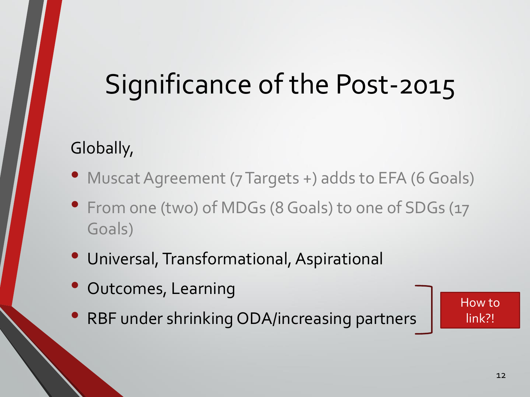## Significance of the Post-2015

### Globally,

- Muscat Agreement (7 Targets +) adds to EFA (6 Goals)
- From one (two) of MDGs (8 Goals) to one of SDGs (17 Goals)
- Universal, Transformational, Aspirational
- Outcomes, Learning
- RBF under shrinking ODA/increasing partners

How to link?!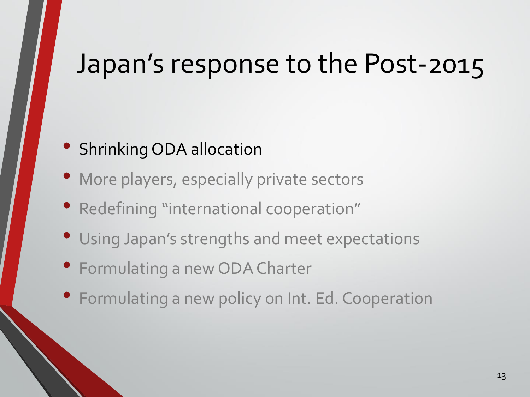### Japan's response to the Post-2015

### • Shrinking ODA allocation

- More players, especially private sectors
- Redefining "international cooperation"
- Using Japan's strengths and meet expectations
- Formulating a new ODA Charter
- Formulating a new policy on Int. Ed. Cooperation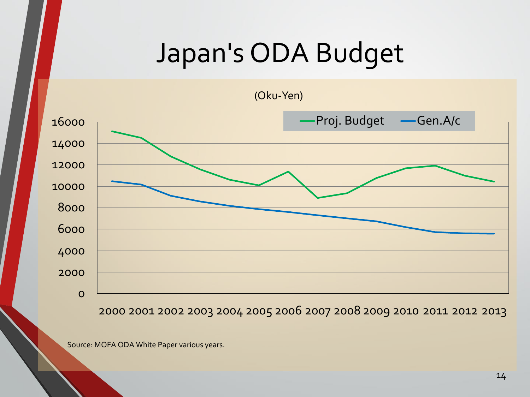### Japan's ODA Budget



2001 2002 2003 2004 2005 2006 2007 2008 2009 2010 2011 2012 2013

Source: MOFA ODA White Paper various years.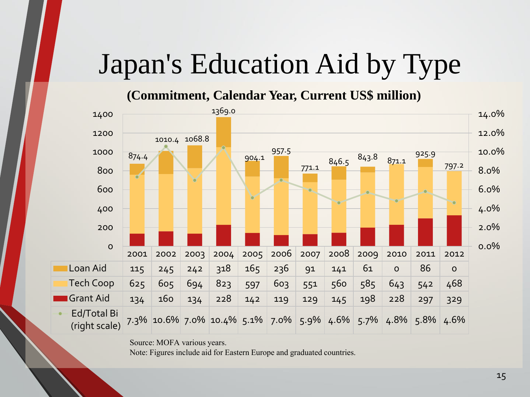## Japan's Education Aid by Type

### **(Commitment, Calendar Year, Current US\$ million)**



Source: MOFA various years.

Note: Figures include aid for Eastern Europe and graduated countries.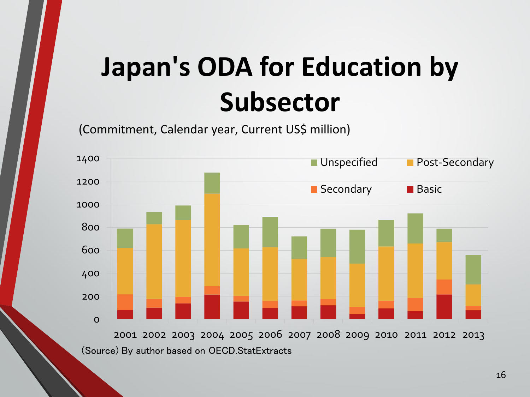# **Japan's ODA for Education by Subsector**

(Commitment, Calendar year, Current US\$ million)

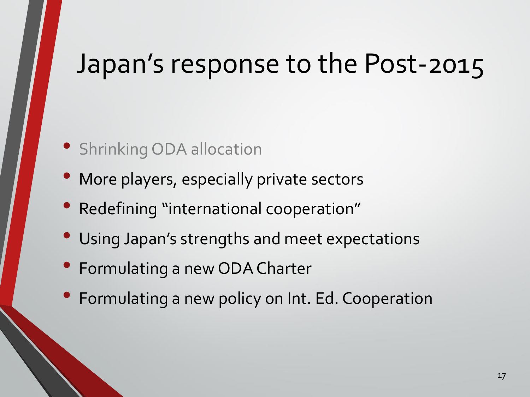### Japan's response to the Post-2015

- Shrinking ODA allocation
- More players, especially private sectors
- Redefining "international cooperation"
- Using Japan's strengths and meet expectations
- Formulating a new ODA Charter
- Formulating a new policy on Int. Ed. Cooperation